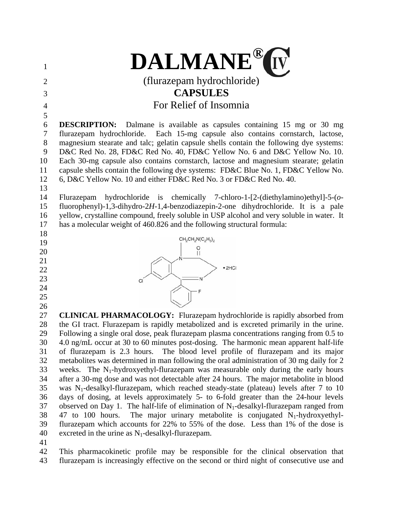| 1               | <b>DALMANE</b>                                                                                                                                                                   |
|-----------------|----------------------------------------------------------------------------------------------------------------------------------------------------------------------------------|
|                 |                                                                                                                                                                                  |
| $\overline{2}$  | (flurazepam hydrochloride)                                                                                                                                                       |
| 3               | <b>CAPSULES</b>                                                                                                                                                                  |
| $\overline{4}$  | For Relief of Insomnia                                                                                                                                                           |
| 5               |                                                                                                                                                                                  |
| 6               | <b>DESCRIPTION:</b> Dalmane is available as capsules containing 15 mg or 30 mg                                                                                                   |
| $\tau$<br>$8\,$ | flurazepam hydrochloride.<br>Each 15-mg capsule also contains cornstarch, lactose,<br>magnesium stearate and talc; gelatin capsule shells contain the following dye systems:     |
| 9               | D&C Red No. 28, FD&C Red No. 40, FD&C Yellow No. 6 and D&C Yellow No. 10.                                                                                                        |
| 10              | Each 30-mg capsule also contains cornstarch, lactose and magnesium stearate; gelatin                                                                                             |
| 11              | capsule shells contain the following dye systems: FD&C Blue No. 1, FD&C Yellow No.                                                                                               |
| 12              | 6, D&C Yellow No. 10 and either FD&C Red No. 3 or FD&C Red No. 40.                                                                                                               |
| 13              |                                                                                                                                                                                  |
| 14              | hydrochloride is chemically 7-chloro-1-[2-(diethylamino)ethyl]-5-(o-<br>Flurazepam                                                                                               |
| 15              | fluorophenyl)-1,3-dihydro-2H-1,4-benzodiazepin-2-one dihydrochloride. It is a pale                                                                                               |
| 16              | yellow, crystalline compound, freely soluble in USP alcohol and very soluble in water. It                                                                                        |
| 17              | has a molecular weight of 460.826 and the following structural formula:                                                                                                          |
| 18              | $CH_2CH_2N(C_2H_5)_2$                                                                                                                                                            |
| 19              | O                                                                                                                                                                                |
| 20              | П                                                                                                                                                                                |
| 21              | • 2HCl                                                                                                                                                                           |
| 22<br>23        |                                                                                                                                                                                  |
| 24              |                                                                                                                                                                                  |
| 25              | F                                                                                                                                                                                |
| 26              |                                                                                                                                                                                  |
| 27              | CLINICAL PHARMACOLOGY: Flurazepam hydrochloride is rapidly absorbed from                                                                                                         |
| 28              | the GI tract. Flurazepam is rapidly metabolized and is excreted primarily in the urine.                                                                                          |
| 29              | Following a single oral dose, peak flurazepam plasma concentrations ranging from 0.5 to                                                                                          |
| 30              | 4.0 ng/mL occur at 30 to 60 minutes post-dosing. The harmonic mean apparent half-life                                                                                            |
| 31              | The blood level profile of flurazepam and its major<br>of flurazepam is 2.3 hours.                                                                                               |
| 32              | metabolites was determined in man following the oral administration of 30 mg daily for 2                                                                                         |
| 33              | weeks. The $N_1$ -hydroxyethyl-flurazepam was measurable only during the early hours                                                                                             |
| 34              | after a 30-mg dose and was not detectable after 24 hours. The major metabolite in blood                                                                                          |
| 35              | was N <sub>1</sub> -desalkyl-flurazepam, which reached steady-state (plateau) levels after 7 to 10                                                                               |
| 36              | days of dosing, at levels approximately 5- to 6-fold greater than the 24-hour levels                                                                                             |
| 37<br>38        | observed on Day 1. The half-life of elimination of $N_1$ -desalkyl-flurazepam ranged from<br>47 to 100 hours.<br>The major urinary metabolite is conjugated $N_1$ -hydroxyethyl- |
| 39              | flurazepam which accounts for 22% to 55% of the dose. Less than 1% of the dose is                                                                                                |
| 40              | excreted in the urine as $N_1$ -desalkyl-flurazepam.                                                                                                                             |
| 41              |                                                                                                                                                                                  |

42 This pharmacokinetic profile may be responsible for the clinical observation that flurazepam is increasingly effective on the second or third night of consecutive use and flurazepam is increasingly effective on the second or third night of consecutive use and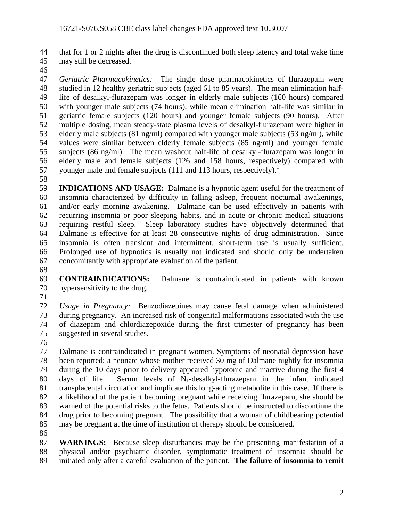44 that for 1 or 2 nights after the drug is discontinued both sleep latency and total wake time 45 may still be decreased.

46

47 *Geriatric Pharmacokinetics:* The single dose pharmacokinetics of flurazepam were 48 studied in 12 healthy geriatric subjects (aged 61 to 85 years). The mean elimination half-49 life of desalkyl-flurazepam was longer in elderly male subjects (160 hours) compared 50 with younger male subjects (74 hours), while mean elimination half-life was similar in 51 geriatric female subjects (120 hours) and younger female subjects (90 hours). After 52 multiple dosing, mean steady-state plasma levels of desalkyl-flurazepam were higher in 53 elderly male subjects (81 ng/ml) compared with younger male subjects (53 ng/ml), while 54 values were similar between elderly female subjects (85 ng/ml) and younger female 55 subjects (86 ng/ml). The mean washout half-life of desalkyl-flurazepam was longer in 56 elderly male and female subjects (126 and 158 hours, respectively) compared with 57 vounger male and female subjects (111 and 113 hours, respectively).<sup>1</sup>

58

59 **INDICATIONS AND USAGE:** Dalmane is a hypnotic agent useful for the treatment of 60 insomnia characterized by difficulty in falling asleep, frequent nocturnal awakenings, 61 and/or early morning awakening. Dalmane can be used effectively in patients with 62 recurring insomnia or poor sleeping habits, and in acute or chronic medical situations 63 requiring restful sleep. Sleep laboratory studies have objectively determined that 64 Dalmane is effective for at least 28 consecutive nights of drug administration. Since 65 insomnia is often transient and intermittent, short-term use is usually sufficient. 66 Prolonged use of hypnotics is usually not indicated and should only be undertaken 67 concomitantly with appropriate evaluation of the patient.

68

69 **CONTRAINDICATIONS:** Dalmane is contraindicated in patients with known 70 hypersensitivity to the drug.

71

72 *Usage in Pregnancy:* Benzodiazepines may cause fetal damage when administered 73 during pregnancy. An increased risk of congenital malformations associated with the use 74 of diazepam and chlordiazepoxide during the first trimester of pregnancy has been 75 suggested in several studies.

76

77 Dalmane is contraindicated in pregnant women. Symptoms of neonatal depression have 78 been reported; a neonate whose mother received 30 mg of Dalmane nightly for insomnia 79 during the 10 days prior to delivery appeared hypotonic and inactive during the first 4 80 days of life. Serum levels of  $N_1$ -desalkyl-flurazepam in the infant indicated 81 transplacental circulation and implicate this long-acting metabolite in this case. If there is 82 a likelihood of the patient becoming pregnant while receiving flurazepam, she should be 83 warned of the potential risks to the fetus. Patients should be instructed to discontinue the 84 drug prior to becoming pregnant. The possibility that a woman of childbearing potential 85 may be pregnant at the time of institution of therapy should be considered.

86

87 **WARNINGS:** Because sleep disturbances may be the presenting manifestation of a 88 physical and/or psychiatric disorder, symptomatic treatment of insomnia should be 89 initiated only after a careful evaluation of the patient. **The failure of insomnia to remit**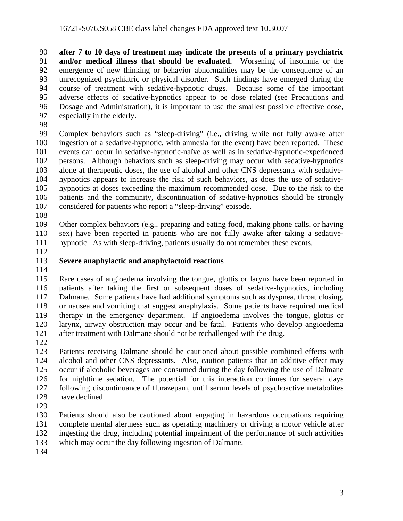90 **after 7 to 10 days of treatment may indicate the presents of a primary psychiatric**  91 **and/or medical illness that should be evaluated.** Worsening of insomnia or the 92 emergence of new thinking or behavior abnormalities may be the consequence of an 93 unrecognized psychiatric or physical disorder. Such findings have emerged during the 94 course of treatment with sedative-hypnotic drugs. Because some of the important 95 adverse effects of sedative-hypnotics appear to be dose related (see Precautions and 96 Dosage and Administration), it is important to use the smallest possible effective dose, 97 especially in the elderly.

98

99 Complex behaviors such as "sleep-driving" (i.e., driving while not fully awake after 100 ingestion of a sedative-hypnotic, with amnesia for the event) have been reported. These 101 events can occur in sedative-hypnotic-naïve as well as in sedative-hypnotic-experienced 102 persons. Although behaviors such as sleep-driving may occur with sedative-hypnotics 103 alone at therapeutic doses, the use of alcohol and other CNS depressants with sedative-104 hypnotics appears to increase the risk of such behaviors, as does the use of sedative-105 hypnotics at doses exceeding the maximum recommended dose. Due to the risk to the 106 patients and the community, discontinuation of sedative-hypnotics should be strongly 107 considered for patients who report a "sleep-driving" episode.

108

109 Other complex behaviors (e.g., preparing and eating food, making phone calls, or having 110 sex) have been reported in patients who are not fully awake after taking a sedative-111 hypnotic. As with sleep-driving, patients usually do not remember these events.

112

## 113 **Severe anaphylactic and anaphylactoid reactions**

114

115 Rare cases of angioedema involving the tongue, glottis or larynx have been reported in 116 patients after taking the first or subsequent doses of sedative-hypnotics, including 117 Dalmane. Some patients have had additional symptoms such as dyspnea, throat closing, 118 or nausea and vomiting that suggest anaphylaxis. Some patients have required medical 119 therapy in the emergency department. If angioedema involves the tongue, glottis or 120 larynx, airway obstruction may occur and be fatal. Patients who develop angioedema 121 after treatment with Dalmane should not be rechallenged with the drug.

122

123 Patients receiving Dalmane should be cautioned about possible combined effects with 124 alcohol and other CNS depressants. Also, caution patients that an additive effect may 125 occur if alcoholic beverages are consumed during the day following the use of Dalmane 126 for nighttime sedation. The potential for this interaction continues for several days 127 following discontinuance of flurazepam, until serum levels of psychoactive metabolites 128 have declined.

129

130 Patients should also be cautioned about engaging in hazardous occupations requiring 131 complete mental alertness such as operating machinery or driving a motor vehicle after 132 ingesting the drug, including potential impairment of the performance of such activities 133 which may occur the day following ingestion of Dalmane.

134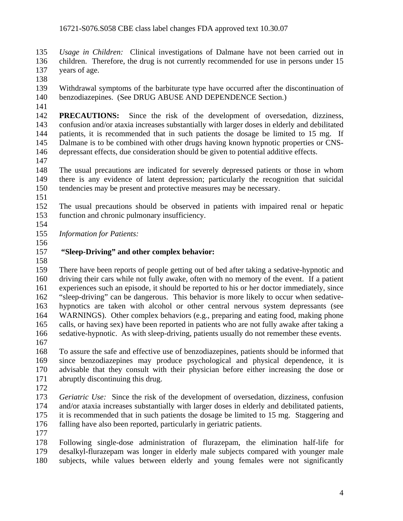135 *Usage in Children:* Clinical investigations of Dalmane have not been carried out in 136 children. Therefore, the drug is not currently recommended for use in persons under 15 137 years of age.

138

139 Withdrawal symptoms of the barbiturate type have occurred after the discontinuation of 140 benzodiazepines. (See DRUG ABUSE AND DEPENDENCE Section.) 141

142 **PRECAUTIONS:** Since the risk of the development of oversedation, dizziness, 143 confusion and/or ataxia increases substantially with larger doses in elderly and debilitated 144 patients, it is recommended that in such patients the dosage be limited to 15 mg. If 145 Dalmane is to be combined with other drugs having known hypnotic properties or CNS-146 depressant effects, due consideration should be given to potential additive effects.

147

148 The usual precautions are indicated for severely depressed patients or those in whom 149 there is any evidence of latent depression; particularly the recognition that suicidal 150 tendencies may be present and protective measures may be necessary.

151

152 The usual precautions should be observed in patients with impaired renal or hepatic 153 function and chronic pulmonary insufficiency.

- 154 155 *Information for Patients:*
- 156

## 157 **"Sleep-Driving" and other complex behavior:**

158

159 There have been reports of people getting out of bed after taking a sedative-hypnotic and 160 driving their cars while not fully awake, often with no memory of the event. If a patient 161 experiences such an episode, it should be reported to his or her doctor immediately, since 162 "sleep-driving" can be dangerous. This behavior is more likely to occur when sedative-163 hypnotics are taken with alcohol or other central nervous system depressants (see 164 WARNINGS). Other complex behaviors (e.g., preparing and eating food, making phone 165 calls, or having sex) have been reported in patients who are not fully awake after taking a 166 sedative-hypnotic. As with sleep-driving, patients usually do not remember these events.

167

168 To assure the safe and effective use of benzodiazepines, patients should be informed that 169 since benzodiazepines may produce psychological and physical dependence, it is 170 advisable that they consult with their physician before either increasing the dose or 171 abruptly discontinuing this drug.

172

173 *Geriatric Use:* Since the risk of the development of oversedation, dizziness, confusion 174 and/or ataxia increases substantially with larger doses in elderly and debilitated patients, 175 it is recommended that in such patients the dosage be limited to 15 mg. Staggering and 176 falling have also been reported, particularly in geriatric patients.

177

178 Following single-dose administration of flurazepam, the elimination half-life for 179 desalkyl-flurazepam was longer in elderly male subjects compared with younger male 180 subjects, while values between elderly and young females were not significantly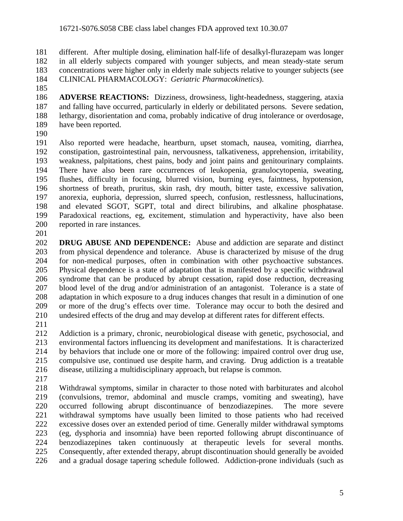181 different. After multiple dosing, elimination half-life of desalkyl-flurazepam was longer 182 in all elderly subjects compared with younger subjects, and mean steady-state serum 183 concentrations were higher only in elderly male subjects relative to younger subjects (see 184 CLINICAL PHARMACOLOGY: *Geriatric Pharmacokinetics*).

185

186 **ADVERSE REACTIONS:** Dizziness, drowsiness, light-headedness, staggering, ataxia 187 and falling have occurred, particularly in elderly or debilitated persons. Severe sedation, 188 lethargy, disorientation and coma, probably indicative of drug intolerance or overdosage, 189 have been reported.

190

191 Also reported were headache, heartburn, upset stomach, nausea, vomiting, diarrhea, 192 constipation, gastrointestinal pain, nervousness, talkativeness, apprehension, irritability, 193 weakness, palpitations, chest pains, body and joint pains and genitourinary complaints. 194 There have also been rare occurrences of leukopenia, granulocytopenia, sweating, 195 flushes, difficulty in focusing, blurred vision, burning eyes, faintness, hypotension, 196 shortness of breath, pruritus, skin rash, dry mouth, bitter taste, excessive salivation, 197 anorexia, euphoria, depression, slurred speech, confusion, restlessness, hallucinations, 198 and elevated SGOT, SGPT, total and direct bilirubins, and alkaline phosphatase. 199 Paradoxical reactions, eg, excitement, stimulation and hyperactivity, have also been 200 reported in rare instances.

201

202 **DRUG ABUSE AND DEPENDENCE:** Abuse and addiction are separate and distinct 203 from physical dependence and tolerance. Abuse is characterized by misuse of the drug 204 for non-medical purposes, often in combination with other psychoactive substances. 205 Physical dependence is a state of adaptation that is manifested by a specific withdrawal 206 syndrome that can be produced by abrupt cessation, rapid dose reduction, decreasing 207 blood level of the drug and/or administration of an antagonist. Tolerance is a state of 208 adaptation in which exposure to a drug induces changes that result in a diminution of one 209 or more of the drug's effects over time. Tolerance may occur to both the desired and 210 undesired effects of the drug and may develop at different rates for different effects.

211

212 Addiction is a primary, chronic, neurobiological disease with genetic, psychosocial, and 213 environmental factors influencing its development and manifestations. It is characterized 214 by behaviors that include one or more of the following: impaired control over drug use, 215 compulsive use, continued use despite harm, and craving. Drug addiction is a treatable 216 disease, utilizing a multidisciplinary approach, but relapse is common.

217

218 Withdrawal symptoms, similar in character to those noted with barbiturates and alcohol 219 (convulsions, tremor, abdominal and muscle cramps, vomiting and sweating), have 220 occurred following abrupt discontinuance of benzodiazepines. The more severe 221 withdrawal symptoms have usually been limited to those patients who had received 222 excessive doses over an extended period of time. Generally milder withdrawal symptoms 223 (eg, dysphoria and insomnia) have been reported following abrupt discontinuance of 224 benzodiazepines taken continuously at therapeutic levels for several months. 225 Consequently, after extended therapy, abrupt discontinuation should generally be avoided 226 and a gradual dosage tapering schedule followed. Addiction-prone individuals (such as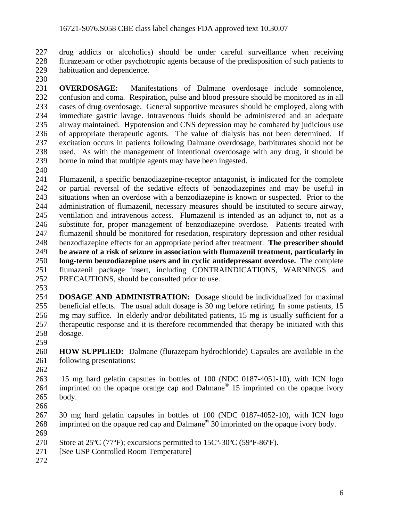227 drug addicts or alcoholics) should be under careful surveillance when receiving 228 flurazepam or other psychotropic agents because of the predisposition of such patients to 229 habituation and dependence.

230

231 **OVERDOSAGE:** Manifestations of Dalmane overdosage include somnolence, 232 confusion and coma. Respiration, pulse and blood pressure should be monitored as in all 233 cases of drug overdosage. General supportive measures should be employed, along with 234 immediate gastric lavage. Intravenous fluids should be administered and an adequate 235 airway maintained. Hypotension and CNS depression may be combated by judicious use 236 of appropriate therapeutic agents. The value of dialysis has not been determined. If 237 excitation occurs in patients following Dalmane overdosage, barbiturates should not be 238 used. As with the management of intentional overdosage with any drug, it should be 239 borne in mind that multiple agents may have been ingested.

240

241 Flumazenil, a specific benzodiazepine-receptor antagonist, is indicated for the complete 242 or partial reversal of the sedative effects of benzodiazepines and may be useful in 243 situations when an overdose with a benzodiazepine is known or suspected. Prior to the 244 administration of flumazenil, necessary measures should be instituted to secure airway, 245 ventilation and intravenous access. Flumazenil is intended as an adjunct to, not as a 246 substitute for, proper management of benzodiazepine overdose. Patients treated with 247 flumazenil should be monitored for resedation, respiratory depression and other residual 248 benzodiazepine effects for an appropriate period after treatment. **The prescriber should**  249 **be aware of a risk of seizure in association with flumazenil treatment, particularly in**  250 **long-term benzodiazepine users and in cyclic antidepressant overdose.** The complete 251 flumazenil package insert, including CONTRAINDICATIONS, WARNINGS and 252 PRECAUTIONS, should be consulted prior to use.

253

254 **DOSAGE AND ADMINISTRATION:** Dosage should be individualized for maximal 255 beneficial effects. The usual adult dosage is 30 mg before retiring. In some patients, 15 256 mg may suffice. In elderly and/or debilitated patients, 15 mg is usually sufficient for a 257 therapeutic response and it is therefore recommended that therapy be initiated with this 258 dosage.

- 260 **HOW SUPPLIED:** Dalmane (flurazepam hydrochloride) Capsules are available in the 261 following presentations:
- 262

259

263 15 mg hard gelatin capsules in bottles of 100 (NDC 0187-4051-10), with ICN logo imprinted on the opaque orange cap and Dalmane® 264 15 imprinted on the opaque ivory 265 body.

266

267 30 mg hard gelatin capsules in bottles of 100 (NDC 0187-4052-10), with ICN logo 268 imprinted on the opaque red cap and Dalmane<sup>®</sup> 30 imprinted on the opaque ivory body.

269

270 Store at 25ºC (77ºF); excursions permitted to 15Cº-30ºC (59ºF-86ºF). 271 [See USP Controlled Room Temperature]

- 
- 272